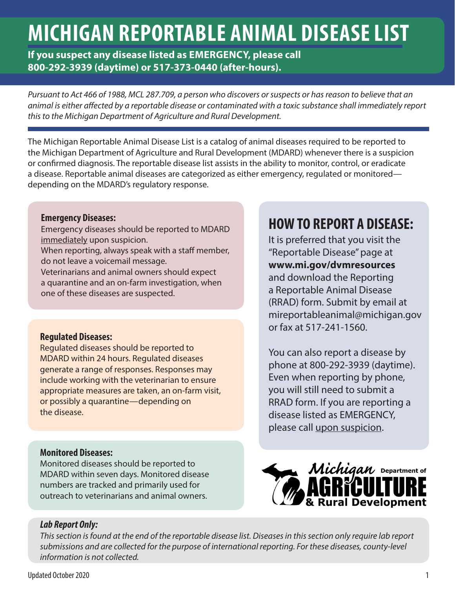# **MICHIGAN REPORTABLE ANIMAL DISEASE LIST**

**If you suspect any disease listed as EMERGENCY, please call 800-292-3939 (daytime) or 517-373-0440 (after-hours).**

*Pursuant to Act 466 of 1988, MCL 287.709, a person who discovers or suspects or has reason to believe that an animal is either affected by a reportable disease or contaminated with a toxic substance shall immediately report this to the Michigan Department of Agriculture and Rural Development.*

The Michigan Reportable Animal Disease List is a catalog of animal diseases required to be reported to the Michigan Department of Agriculture and Rural Development (MDARD) whenever there is a suspicion or confirmed diagnosis. The reportable disease list assists in the ability to monitor, control, or eradicate a disease. Reportable animal diseases are categorized as either emergency, regulated or monitored depending on the MDARD's regulatory response.

### **Emergency Diseases:**

Emergency diseases should be reported to MDARD immediately upon suspicion.

When reporting, always speak with a staff member, do not leave a voicemail message.

Veterinarians and animal owners should expect a quarantine and an on-farm investigation, when one of these diseases are suspected.

### **Regulated Diseases:**

Regulated diseases should be reported to MDARD within 24 hours. Regulated diseases generate a range of responses. Responses may include working with the veterinarian to ensure appropriate measures are taken, an on-farm visit, or possibly a quarantine—depending on the disease.

### **Monitored Diseases:**

Monitored diseases should be reported to MDARD within seven days. Monitored disease numbers are tracked and primarily used for outreach to veterinarians and animal owners.

## **HOW TO REPORT A DISEASE:**

It is preferred that you visit the "Reportable Disease" page at **www.mi.gov/dvmresources** and download the Reporting a Reportable Animal Disease (RRAD) form. Submit by email at mireportableanimal@michigan.gov or fax at 517-241-1560.

You can also report a disease by phone at 800-292-3939 (daytime). Even when reporting by phone, you will still need to submit a RRAD form. If you are reporting a disease listed as EMERGENCY, please call upon suspicion.



### *Lab Report Only:*

*This section is found at the end of the reportable disease list. Diseases in this section only require lab report submissions and are collected for the purpose of international reporting. For these diseases, county-level information is not collected.*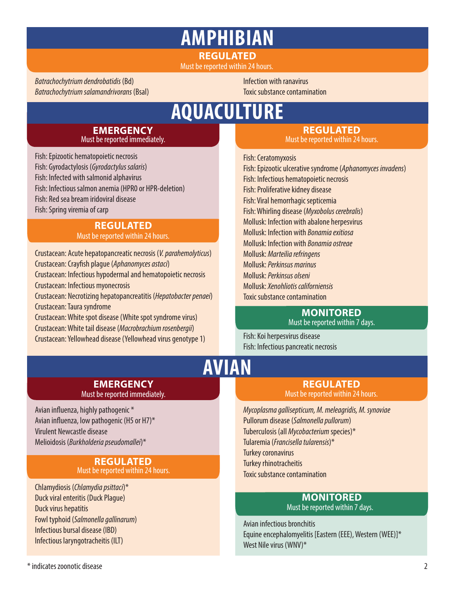## **REGULATED AMPHIBIAN**

Must be reported within 24 hours.

*Batrachochytrium dendrobatidis* (Bd) *Batrachochytrium salamandrivorans* (Bsal) Infection with ranavirus Toxic substance contamination

## **AQUACULTURE**

#### **EMERGENCY**  Must be reported immediately.

Fish: Epizootic hematopoietic necrosis Fish: Gyrodactylosis (*Gyrodactylus salaris*) Fish: Infected with salmonid alphavirus Fish: Infectious salmon anemia (HPR0 or HPR-deletion) Fish: Red sea bream iridoviral disease Fish: Spring viremia of carp

#### **REGULATED**  Must be reported within 24 hours.

Crustacean: Acute hepatopancreatic necrosis (*V. parahemolyticus*) Crustacean: Crayfish plague (*Aphanomyces astaci*) Crustacean: Infectious hypodermal and hematopoietic necrosis Crustacean: Infectious myonecrosis Crustacean: Necrotizing hepatopancreatitis (*Hepatobacter penaei*) Crustacean: Taura syndrome Crustacean: White spot disease (White spot syndrome virus) Crustacean: White tail disease (*Macrobrachium rosenbergii*)

Crustacean: Yellowhead disease (Yellowhead virus genotype 1)

## **REGULATED**

Must be reported within 24 hours.

Fish: Ceratomyxosis Fish: Epizootic ulcerative syndrome (*Aphanomyces invadens*) Fish: Infectious hematopoietic necrosis Fish: Proliferative kidney disease Fish: Viral hemorrhagic septicemia Fish: Whirling disease (*Myxobolus cerebralis*) Mollusk: Infection with abalone herpesvirus Mollusk: Infection with *Bonamia exitiosa* Mollusk: Infection with *Bonamia ostreae* Mollusk: *Marteilia refringens* Mollusk: *Perkinsus marinus* Mollusk: *Perkinsus olseni* Mollusk: *Xenohliotis californiensis* Toxic substance contamination

#### **MONITORED** Must be reported within 7 days.

Fish: Koi herpesvirus disease Fish: Infectious pancreatic necrosis

## **AVIAN**

#### **EMERGENCY**  Must be reported immediately.

Avian influenza, highly pathogenic \* Avian influenza, low pathogenic (H5 or H7)\* Virulent Newcastle disease Melioidosis (*Burkholderia pseudomallei*)\*

#### **REGULATED**  Must be reported within 24 hours.

Chlamydiosis (*Chlamydia psittaci*)\* Duck viral enteritis (Duck Plague) Duck virus hepatitis Fowl typhoid (*Salmonella gallinarum*) Infectious bursal disease (IBD) Infectious laryngotracheitis (ILT)

### **REGULATED**  Must be reported within 24 hours.

*Mycoplasma gallisepticum, M. meleagridis, M. synoviae* Pullorum disease (*Salmonella pullorum*) Tuberculosis (all *Mycobacterium* species)\* Tularemia (*Francisella tularensis*)\* Turkey coronavirus Turkey rhinotracheitis Toxic substance contamination

#### **MONITORED** Must be reported within 7 days.

Avian infectious bronchitis Equine encephalomyelitis [Eastern (EEE), Western (WEE)]\* West Nile virus (WNV)\*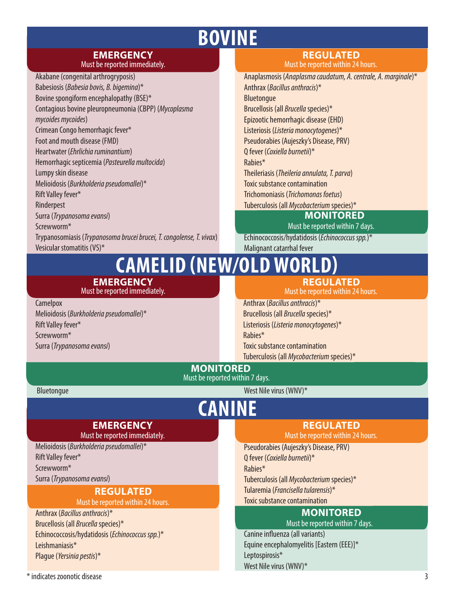## **BOVINE**

#### **EMERGENCY**  Must be reported immediately.

Akabane (congenital arthrogryposis) Babesiosis (*Babesia bovis, B. bigemina*)\* Bovine spongiform encephalopathy (BSE)\* Contagious bovine pleuropneumonia (CBPP) (*Mycoplasma mycoides mycoides*) Crimean Congo hemorrhagic fever\* Foot and mouth disease (FMD) Heartwater (*Ehrlichia ruminantium*) Hemorrhagic septicemia (*Pasteurella multocida*) Lumpy skin disease Melioidosis (*Burkholderia pseudomallei*)\* Rift Valley fever\* Rinderpest Surra (*Trypanosoma evansi*) Screwworm\* Trypanosomiasis (*Trypanosoma brucei brucei, T. congolense, T. vivax*) Vesicular stomatitis (VS)\*

## **REGULATED**

Must be reported within 24 hours.

Anaplasmosis (*Anaplasma caudatum, A. centrale, A. marginale*)\* Anthrax (*Bacillus anthracis*)\* Bluetongue Brucellosis (all *Brucella* species)\* Epizootic hemorrhagic disease (EHD) Listeriosis (*Listeria monocytogenes*)\* Pseudorabies (Aujeszky's Disease, PRV) Q fever (*Coxiella burnetii*)\* Rabies\* Theileriasis (*Theileria annulata, T. parva*) Toxic substance contamination Trichomoniasis (*Trichomonas foetus*) Tuberculosis (all *Mycobacterium* species)\* **MONITORED**

Must be reported within 7 days.

Echinococcosis/hydatidosis (*Echinococcus spp.*)\* Malignant catarrhal fever

#### **EMERGENCY CAMELID (NEW/OLD WORL REGULATED**

Must be reported immediately.

#### **Camelpox**

Melioidosis (*Burkholderia pseudomallei*)\* Rift Valley fever\* Screwworm\* Surra (*Trypanosoma evansi*)

Must be reported within 24 hours. Anthrax (*Bacillus anthracis*)\* Brucellosis (all *Brucella* species)\* Listeriosis (*Listeria monocytogenes*)\* Rabies\*

Toxic substance contamination Tuberculosis (all *Mycobacterium* species)\*

**MONITORED** Must be reported within 7 days.

**CANINE**

Bluetongue

West Nile virus (WNV)\*

## **EMERGENCY**

Must be reported immediately.

Melioidosis (*Burkholderia pseudomallei*)\* Rift Valley fever\* Screwworm\* Surra (*Trypanosoma evansi*)

### **REGULATED**

Must be reported within 24 hours.

Anthrax (*Bacillus anthracis*)\* Brucellosis (all *Brucella* species)\* Echinococcosis/hydatidosis (*Echinococcus spp.*)\* Leishmaniasis\* Plague (*Yersinia pestis*)\*

### **REGULATED**

Must be reported within 24 hours.

Pseudorabies (Aujeszky's Disease, PRV)

Q fever (*Coxiella burnetii*)\*

Rabies\*

Tuberculosis (all *Mycobacterium* species)\*

Tularemia (*Francisella tularensis*)\*

Toxic substance contamination

#### **MONITORED** Must be reported within 7 days.

Canine influenza (all variants) Equine encephalomyelitis [Eastern (EEE)]\* Leptospirosis\* West Nile virus (WNV)\*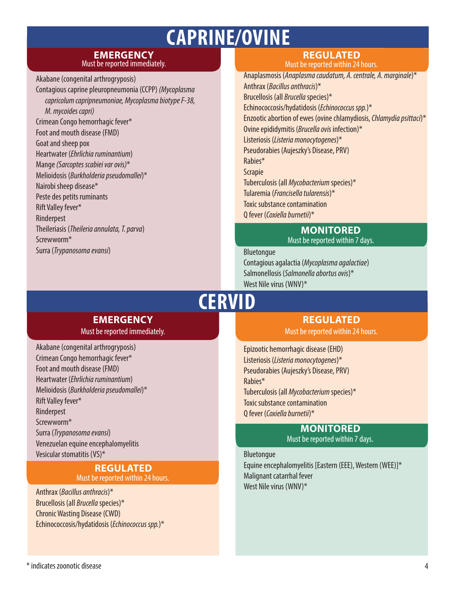## **CAPRINE/OVINE**

#### **EMERGENCY**  Must be reported immediately.

Akabane (congenital arthrogryposis) Contagious caprine pleuropneumonia (CCPP) *(Mycoplasma capricolum capripneumoniae, Mycoplasma biotype F-38, M. mycoides capri)* Crimean Congo hemorrhagic fever\* Foot and mouth disease (FMD) Goat and sheep pox Heartwater (*Ehrlichia ruminantium*) Mange *(Sarcoptes scabiei var ovis)*\* Melioidosis (*Burkholderia pseudomallei*)\* Nairobi sheep disease\* Peste des petits ruminants Rift Valley fever\* Rinderpest Theileriasis (*Theileria annulata, T. parva*) Screwworm\* Surra (*Trypanosoma evansi*)

### **REGULATED**

Must be reported within 24 hours.

Anaplasmosis (*Anaplasma caudatum, A. centrale, A. marginale*)\* Anthrax (*Bacillus anthracis*)\* Brucellosis (all *Brucella* species)\* Echinococcosis/hydatidosis (*Echinococcus spp.*)\* Enzootic abortion of ewes (ovine chlamydiosis, *Chlamydia psittaci*)\* Ovine epididymitis (*Brucella ovis* infection)\* Listeriosis (*Listeria monocytogenes*)\* Pseudorabies (Aujeszky's Disease, PRV) Rabies\* Scrapie Tuberculosis (all *Mycobacterium* species)\* Tularemia (*Francisella tularensis*)\* Toxic substance contamination Q fever (*Coxiella burnetii*)\*

#### **MONITORED** Must be reported within 7 days.

#### Bluetongue

Contagious agalactia (*Mycoplasma agalactiae*) Salmonellosis (*Salmonella abortus ovis*)\* West Nile virus (WNV)\*

## **CERVID**

## **EMERGENCY**

Must be reported immediately.

Akabane (congenital arthrogryposis) Crimean Congo hemorrhagic fever\* Foot and mouth disease (FMD) Heartwater (*Ehrlichia ruminantium*) Melioidosis (*Burkholderia pseudomallei*)\* Rift Valley fever\* Rinderpest Screwworm\* Surra (*Trypanosoma evansi*) Venezuelan equine encephalomyelitis Vesicular stomatitis (VS)\*

### **REGULATED**

Must be reported within 24 hours.

Anthrax (*Bacillus anthracis*)\* Brucellosis (all *Brucella* species)\* Chronic Wasting Disease (CWD) Echinococcosis/hydatidosis (*Echinococcus spp.*)\*

**REGULATED**  Must be reported within 24 hours.

Epizootic hemorrhagic disease (EHD) Listeriosis (*Listeria monocytogenes*)\* Pseudorabies (Aujeszky's Disease, PRV) Rabies\* Tuberculosis (all *Mycobacterium* species)\* Toxic substance contamination Q fever (*Coxiella burnetii*)\*

#### **MONITORED** Must be reported within 7 days.

Bluetongue Equine encephalomyelitis [Eastern (EEE), Western (WEE)]\* Malignant catarrhal fever West Nile virus (WNV)\*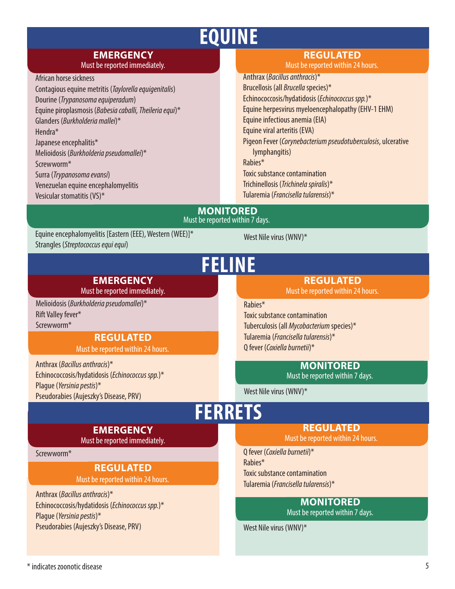## **EQUINE**

## **EMERGENCY**

Must be reported immediately.

African horse sickness Contagious equine metritis (*Taylorella equigenitalis*) Dourine (*Trypanosoma equiperadum*) Equine piroplasmosis (*Babesia caballi, Theileria equi*)\* Glanders (*Burkholderia mallei*)\* Hendra\* Japanese encephalitis\* Melioidosis (*Burkholderia pseudomallei*)\* Screwworm\* Surra (*Trypanosoma evansi*) Venezuelan equine encephalomyelitis Vesicular stomatitis (VS)\*

### **REGULATED**

Must be reported within 24 hours.

Anthrax (*Bacillus anthracis*)\* Brucellosis (all *Brucella* species)\* Echinococcosis/hydatidosis (*Echinococcus spp.*)\* Equine herpesvirus myeloencephalopathy (EHV-1 EHM) Equine infectious anemia (EIA) Equine viral arteritis (EVA) Pigeon Fever (*Corynebacterium pseudotuberculosis*, ulcerative lymphangitis) Rabies\* Toxic substance contamination Trichinellosis (*Trichinela spiralis*)\* Tularemia (*Francisella tularensis*)\*

#### **MONITORED** Must be reported within 7 days.

Equine encephalomyelitis [Eastern (EEE), Western (WEE)]\* Strangles (*Streptococcus equi equi*)

> **EMERGENCY**  Must be reported immediately.

**REGULATED**  Must be reported within 24 hours.

Melioidosis (*Burkholderia pseudomallei*)\*

Echinococcosis/hydatidosis (*Echinococcus spp.*)\*

Pseudorabies (Aujeszky's Disease, PRV)

## **FELINE**

### **REGULATED**

Must be reported within 24 hours.

Rabies\*

Toxic substance contamination Tuberculosis (all *Mycobacterium* species)\* Tularemia (*Francisella tularensis*)\* Q fever (*Coxiella burnetii*)\*

**MONITORED**

Must be reported within 7 days.

West Nile virus (WNV)\*

West Nile virus (WNV)\*

## **FERRETS**

### **EMERGENCY**

Must be reported immediately.

Screwworm\*

Rift Valley fever\* Screwworm\*

Anthrax (*Bacillus anthracis*)\*

Plague (*Yersinia pestis*)\*

### **REGULATED**

Must be reported within 24 hours.

Anthrax (*Bacillus anthracis*)\* Echinococcosis/hydatidosis (*Echinococcus spp.*)\* Plague (*Yersinia pestis*)\* Pseudorabies (Aujeszky's Disease, PRV)

### **REGULATED**

Must be reported within 24 hours.

Q fever (*Coxiella burnetii*)\* Rabies\* Toxic substance contamination Tularemia (*Francisella tularensis*)\*

## **MONITORED**

Must be reported within 7 days.

West Nile virus (WNV)\*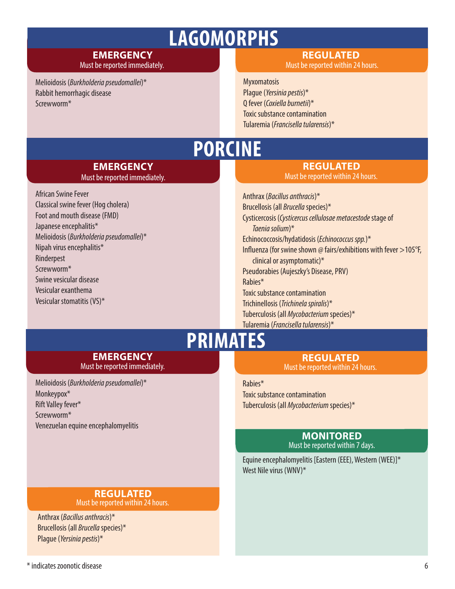## **LAGOMORPHS**

#### **EMERGENCY**  Must be reported immediately.

Melioidosis (*Burkholderia pseudomallei*)\* Rabbit hemorrhagic disease Screwworm\*

#### **REGULATED**  Must be reported within 24 hours.

**Myxomatosis** Plague (*Yersinia pestis*)\* Q fever (*Coxiella burnetii*)\* Toxic substance contamination Tularemia (*Francisella tularensis*)\*

## **PORCINE**

### **EMERGENCY**

Must be reported immediately.

African Swine Fever Classical swine fever (Hog cholera) Foot and mouth disease (FMD) Japanese encephalitis\* Melioidosis (*Burkholderia pseudomallei*)\* Nipah virus encephalitis\* Rinderpest Screwworm\* Swine vesicular disease Vesicular exanthema Vesicular stomatitis (VS)\*

## **REGULATED**

Must be reported within 24 hours.

Anthrax (*Bacillus anthracis*)\* Brucellosis (all *Brucella* species)\* Cysticercosis (*Cysticercus cellulosae metacestode* stage of *Taenia solium*)\* Echinococcosis/hydatidosis (*Echinococcus spp.*)\* Influenza (for swine shown @ fairs/exhibitions with fever >105°F, clinical or asymptomatic)\* Pseudorabies (Aujeszky's Disease, PRV) Rabies\* Toxic substance contamination Trichinellosis (*Trichinela spiralis*)\* Tuberculosis (all *Mycobacterium* species)\* Tularemia (*Francisella tularensis*)\*

## **PRIMATES**

## **REGULATED**

Must be reported within 24 hours.

#### Rabies\*

Toxic substance contamination Tuberculosis (all *Mycobacterium* species)\*

#### **MONITORED** Must be reported within 7 days.

Equine encephalomyelitis [Eastern (EEE), Western (WEE)]\* West Nile virus (WNV)\*

## **EMERGENCY**  Must be reported immediately.

Melioidosis (*Burkholderia pseudomallei*)\* Monkeypox\* Rift Valley fever\* Screwworm\* Venezuelan equine encephalomyelitis

#### **REGULATED**  Must be reported within 24 hours.

Anthrax (*Bacillus anthracis*)\* Brucellosis (all *Brucella* species)\* Plague (*Yersinia pestis*)\*

 $*$  indicates zoonotic disease  $6$